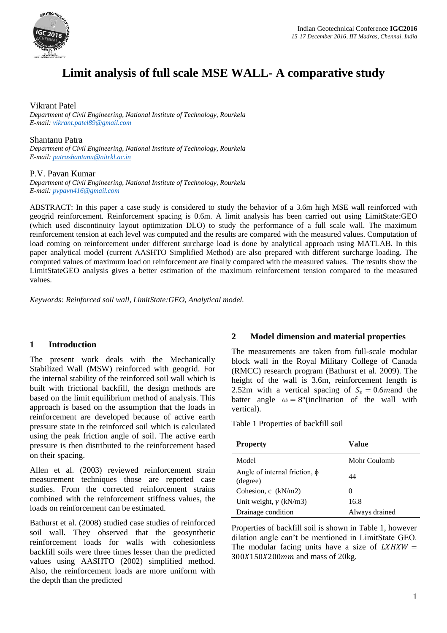

# **Limit analysis of full scale MSE WALL- A comparative study**

Vikrant Patel

*Department of Civil Engineering, National Institute of Technology, Rourkela E-mail[: vikrant.patel89@gmail.com](mailto:vikrant.patel89@gmail.com)*

Shantanu Patra *Department of Civil Engineering, National Institute of Technology, Rourkela E-mail[: patrashantanu@nitrkl.ac.in](mailto:patrashantanu@nitrkl.ac.in)*

### P.V. Pavan Kumar

*Department of Civil Engineering, National Institute of Technology, Rourkela E-mail[: pvpavn416@gmail.com](mailto:pvpavn416@gmail.com)*

ABSTRACT: In this paper a case study is considered to study the behavior of a 3.6m high MSE wall reinforced with geogrid reinforcement. Reinforcement spacing is 0.6m. A limit analysis has been carried out using LimitState:GEO (which used discontinuity layout optimization DLO) to study the performance of a full scale wall. The maximum reinforcement tension at each level was computed and the results are compared with the measured values. Computation of load coming on reinforcement under different surcharge load is done by analytical approach using MATLAB. In this paper analytical model (current AASHTO Simplified Method) are also prepared with different surcharge loading. The computed values of maximum load on reinforcement are finally compared with the measured values. The results show the LimitStateGEO analysis gives a better estimation of the maximum reinforcement tension compared to the measured values.

*Keywords: Reinforced soil wall, LimitState:GEO, Analytical model.*

## **1 Introduction**

The present work deals with the Mechanically Stabilized Wall (MSW) reinforced with geogrid. For the internal stability of the reinforced soil wall which is built with frictional backfill, the design methods are based on the limit equilibrium method of analysis. This approach is based on the assumption that the loads in reinforcement are developed because of active earth pressure state in the reinforced soil which is calculated using the peak friction angle of soil. The active earth pressure is then distributed to the reinforcement based on their spacing.

Allen et al. (2003) reviewed reinforcement strain measurement techniques those are reported case studies. From the corrected reinforcement strains combined with the reinforcement stiffness values, the loads on reinforcement can be estimated.

Bathurst et al. (2008) studied case studies of reinforced soil wall. They observed that the geosynthetic reinforcement loads for walls with cohesionless backfill soils were three times lesser than the predicted values using AASHTO (2002) simplified method. Also, the reinforcement loads are more uniform with the depth than the predicted

## **2 Model dimension and material properties**

The measurements are taken from full-scale modular block wall in the Royal Military College of Canada (RMCC) research program (Bathurst et al. 2009). The height of the wall is 3.6m, reinforcement length is 2.52m with a vertical spacing of  $S_v = 0.6$  m and the batter angle  $\omega = 8^{\circ}$ (inclination of the wall with vertical).

Table 1 Properties of backfill soil

| <b>Property</b>                                | Value          |
|------------------------------------------------|----------------|
| Model                                          | Mohr Coulomb   |
| Angle of internal friction, $\phi$<br>(degree) | 44             |
| Cohesion, c $(kN/m2)$                          | $\theta$       |
| Unit weight, $\gamma$ (kN/m3)                  | 16.8           |
| Drainage condition                             | Always drained |

Properties of backfill soil is shown in Table 1, however dilation angle can't be mentioned in LimitState GEO. The modular facing units have a size of  $LXHXW =$  $300X150X200mm$  and mass of 20kg.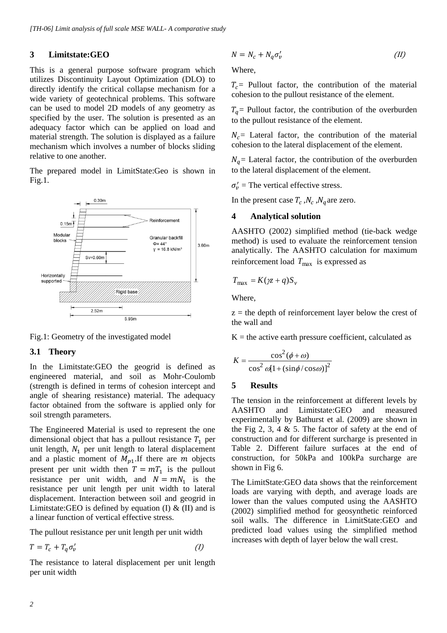## **3 Limitstate:GEO**

This is a general purpose software program which utilizes Discontinuity Layout Optimization (DLO) to directly identify the critical collapse mechanism for a wide variety of geotechnical problems. This software can be used to model 2D models of any geometry as specified by the user. The solution is presented as an adequacy factor which can be applied on load and material strength. The solution is displayed as a failure mechanism which involves a number of blocks sliding relative to one another.

The prepared model in LimitState:Geo is shown in Fig.1.



Fig.1: Geometry of the investigated model

## **3.1 Theory**

In the Limitstate:GEO the geogrid is defined as engineered material, and soil as Mohr-Coulomb (strength is defined in terms of cohesion intercept and angle of shearing resistance) material. The adequacy factor obtained from the software is applied only for soil strength parameters.

The Engineered Material is used to represent the one dimensional object that has a pullout resistance  $T_1$  per unit length,  $N_1$  per unit length to lateral displacement and a plastic moment of  $M_{p1}$ . If there are m objects present per unit width then  $T = mT_1$  is the pullout resistance per unit width, and  $N = mN_1$  is the resistance per unit length per unit width to lateral displacement. Interaction between soil and geogrid in Limitstate:GEO is defined by equation (I)  $\&$  (II) and is a linear function of vertical effective stress.

The pullout resistance per unit length per unit width

$$
T = T_c + T_q \sigma'_v \tag{1}
$$

The resistance to lateral displacement per unit length per unit width

$$
N = N_c + N_q \sigma'_v \tag{II}
$$

Where,

 $T_c$  Pullout factor, the contribution of the material cohesion to the pullout resistance of the element.

 $T<sub>q</sub>$  = Pullout factor, the contribution of the overburden to the pullout resistance of the element.

 $N_c$  Lateral factor, the contribution of the material cohesion to the lateral displacement of the element.

 $N_a$  = Lateral factor, the contribution of the overburden to the lateral displacement of the element.

 $\sigma'_{v}$  = The vertical effective stress.

In the present case  $T_c$ ,  $N_c$ ,  $N_q$  are zero.

### **4 Analytical solution**

AASHTO (2002) simplified method (tie-back wedge method) is used to evaluate the reinforcement tension analytically. The AASHTO calculation for maximum reinforcement load  $T_{\text{max}}$  is expressed as

$$
T_{\text{max}} = K(\chi + q)S_v
$$

Where,

 $z =$  the depth of reinforcement layer below the crest of the wall and

 $K =$  the active earth pressure coefficient, calculated as

$$
K = \frac{\cos^2(\phi + \omega)}{\cos^2 \omega [1 + (\sin \phi / \cos \omega)]^2}
$$

### **5 Results**

The tension in the reinforcement at different levels by AASHTO and Limitstate:GEO and measured experimentally by Bathurst et al. (2009) are shown in the Fig 2, 3, 4  $\&$  5. The factor of safety at the end of construction and for different surcharge is presented in Table 2. Different failure surfaces at the end of construction, for 50kPa and 100kPa surcharge are shown in Fig 6.

The LimitState:GEO data shows that the reinforcement loads are varying with depth, and average loads are lower than the values computed using the AASHTO (2002) simplified method for geosynthetic reinforced soil walls. The difference in LimitState:GEO and predicted load values using the simplified method increases with depth of layer below the wall crest.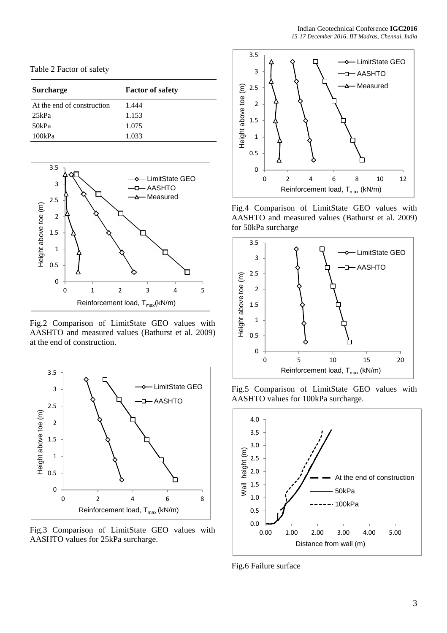| Table 2 Factor of safety |  |  |  |
|--------------------------|--|--|--|
|--------------------------|--|--|--|

| <b>Surcharge</b>           | <b>Factor of safety</b> |
|----------------------------|-------------------------|
| At the end of construction | 1.444                   |
| 25kPa                      | 1.153                   |
| 50kPa                      | 1.075                   |
| 100kPa                     | 1.033                   |



Fig.2 Comparison of LimitState GEO values with AASHTO and measured values (Bathurst et al. 2009) at the end of construction.



Fig.3 Comparison of LimitState GEO values with AASHTO values for 25kPa surcharge.



Fig.4 Comparison of LimitState GEO values with AASHTO and measured values (Bathurst et al. 2009) for 50kPa surcharge



Fig.5 Comparison of LimitState GEO values with AASHTO values for 100kPa surcharge.



Fig**.**6 Failure surface